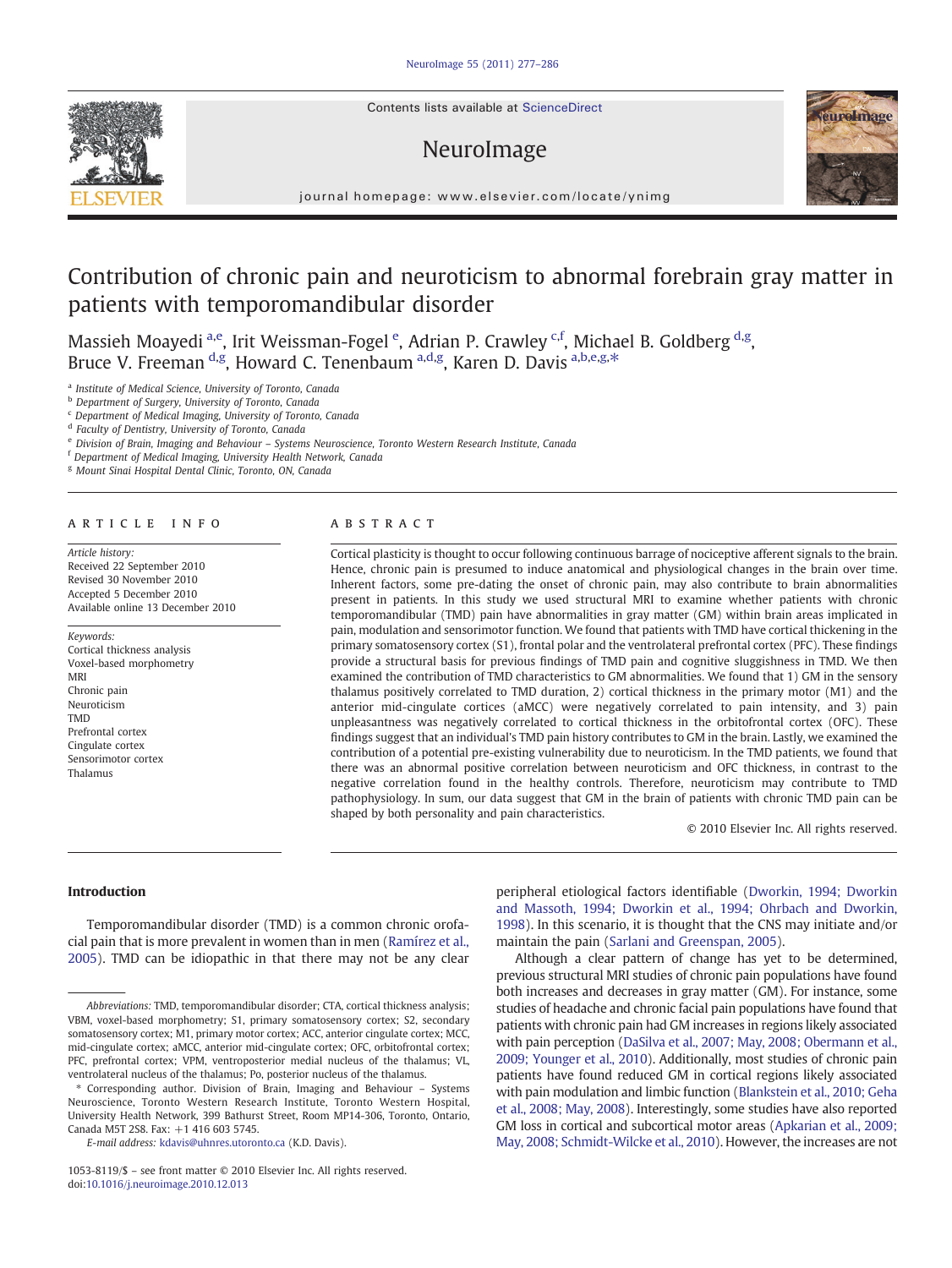Contents lists available at ScienceDirect

# NeuroImage



journal homepage: www.elsevier.com/locate/ynimg

# Contribution of chronic pain and neuroticism to abnormal forebrain gray matter in patients with temporomandibular disorder

Massieh Moayedi <sup>a,e</sup>, Irit Weissman-Fogel <sup>e</sup>, Adrian P. Crawley <sup>c,f</sup>, Michael B. Goldberg <sup>d,g</sup>, Bruce V. Freeman <sup>d,g</sup>, Howard C. Tenenbaum <sup>a,d,g</sup>, Karen D. Davis <sup>a,b,e,g,\*</sup>

<sup>a</sup> Institute of Medical Science, University of Toronto, Canada

<sup>b</sup> Department of Surgery, University of Toronto, Canada

<sup>c</sup> Department of Medical Imaging, University of Toronto, Canada

<sup>d</sup> Faculty of Dentistry, University of Toronto, Canada

<sup>e</sup> Division of Brain, Imaging and Behaviour – Systems Neuroscience, Toronto Western Research Institute, Canada

<sup>f</sup> Department of Medical Imaging, University Health Network, Canada

<sup>g</sup> Mount Sinai Hospital Dental Clinic, Toronto, ON, Canada

# article info abstract

Article history: Received 22 September 2010 Revised 30 November 2010 Accepted 5 December 2010 Available online 13 December 2010

Keywords: Cortical thickness analysis Voxel-based morphometry MRI Chronic pain Neuroticism TMD Prefrontal cortex Cingulate cortex Sensorimotor cortex Thalamus

Cortical plasticity is thought to occur following continuous barrage of nociceptive afferent signals to the brain. Hence, chronic pain is presumed to induce anatomical and physiological changes in the brain over time. Inherent factors, some pre-dating the onset of chronic pain, may also contribute to brain abnormalities present in patients. In this study we used structural MRI to examine whether patients with chronic temporomandibular (TMD) pain have abnormalities in gray matter (GM) within brain areas implicated in pain, modulation and sensorimotor function. We found that patients with TMD have cortical thickening in the primary somatosensory cortex (S1), frontal polar and the ventrolateral prefrontal cortex (PFC). These findings provide a structural basis for previous findings of TMD pain and cognitive sluggishness in TMD. We then examined the contribution of TMD characteristics to GM abnormalities. We found that 1) GM in the sensory thalamus positively correlated to TMD duration, 2) cortical thickness in the primary motor (M1) and the anterior mid-cingulate cortices (aMCC) were negatively correlated to pain intensity, and 3) pain unpleasantness was negatively correlated to cortical thickness in the orbitofrontal cortex (OFC). These findings suggest that an individual's TMD pain history contributes to GM in the brain. Lastly, we examined the contribution of a potential pre-existing vulnerability due to neuroticism. In the TMD patients, we found that there was an abnormal positive correlation between neuroticism and OFC thickness, in contrast to the negative correlation found in the healthy controls. Therefore, neuroticism may contribute to TMD pathophysiology. In sum, our data suggest that GM in the brain of patients with chronic TMD pain can be shaped by both personality and pain characteristics.

© 2010 Elsevier Inc. All rights reserved.

# Introduction

Temporomandibular disorder (TMD) is a common chronic orofacial pain that is more prevalent in women than in men [\(Ramírez et al.,](#page-9-0) [2005\)](#page-9-0). TMD can be idiopathic in that there may not be any clear peripheral etiological factors identifiable ([Dworkin, 1994; Dworkin](#page-8-0) [and Massoth, 1994; Dworkin et al., 1994; Ohrbach and Dworkin,](#page-8-0) [1998\)](#page-8-0). In this scenario, it is thought that the CNS may initiate and/or maintain the pain [\(Sarlani and Greenspan, 2005](#page-9-0)).

Although a clear pattern of change has yet to be determined, previous structural MRI studies of chronic pain populations have found both increases and decreases in gray matter (GM). For instance, some studies of headache and chronic facial pain populations have found that patients with chronic pain had GM increases in regions likely associated with pain perception [\(DaSilva et al., 2007; May, 2008; Obermann et al.,](#page-8-0) [2009; Younger et al., 2010](#page-8-0)). Additionally, most studies of chronic pain patients have found reduced GM in cortical regions likely associated with pain modulation and limbic function [\(Blankstein et al., 2010; Geha](#page-8-0) [et al., 2008; May, 2008](#page-8-0)). Interestingly, some studies have also reported GM loss in cortical and subcortical motor areas [\(Apkarian et al., 2009;](#page-8-0) [May, 2008; Schmidt-Wilcke et al., 2010](#page-8-0)). However, the increases are not



Abbreviations: TMD, temporomandibular disorder; CTA, cortical thickness analysis; VBM, voxel-based morphometry; S1, primary somatosensory cortex; S2, secondary somatosensory cortex; M1, primary motor cortex; ACC, anterior cingulate cortex; MCC, mid-cingulate cortex; aMCC, anterior mid-cingulate cortex; OFC, orbitofrontal cortex; PFC, prefrontal cortex; VPM, ventroposterior medial nucleus of the thalamus; VL, ventrolateral nucleus of the thalamus; Po, posterior nucleus of the thalamus.

Corresponding author. Division of Brain, Imaging and Behaviour - Systems Neuroscience, Toronto Western Research Institute, Toronto Western Hospital, University Health Network, 399 Bathurst Street, Room MP14-306, Toronto, Ontario, Canada M5T 2S8. Fax: +1 416 603 5745.

E-mail address: [kdavis@uhnres.utoronto.ca](mailto:kdavis@uhnres.utoronto.ca) (K.D. Davis).

<sup>1053-8119/\$</sup> – see front matter © 2010 Elsevier Inc. All rights reserved. doi:[10.1016/j.neuroimage.2010.12.013](http://dx.doi.org/10.1016/j.neuroimage.2010.12.013)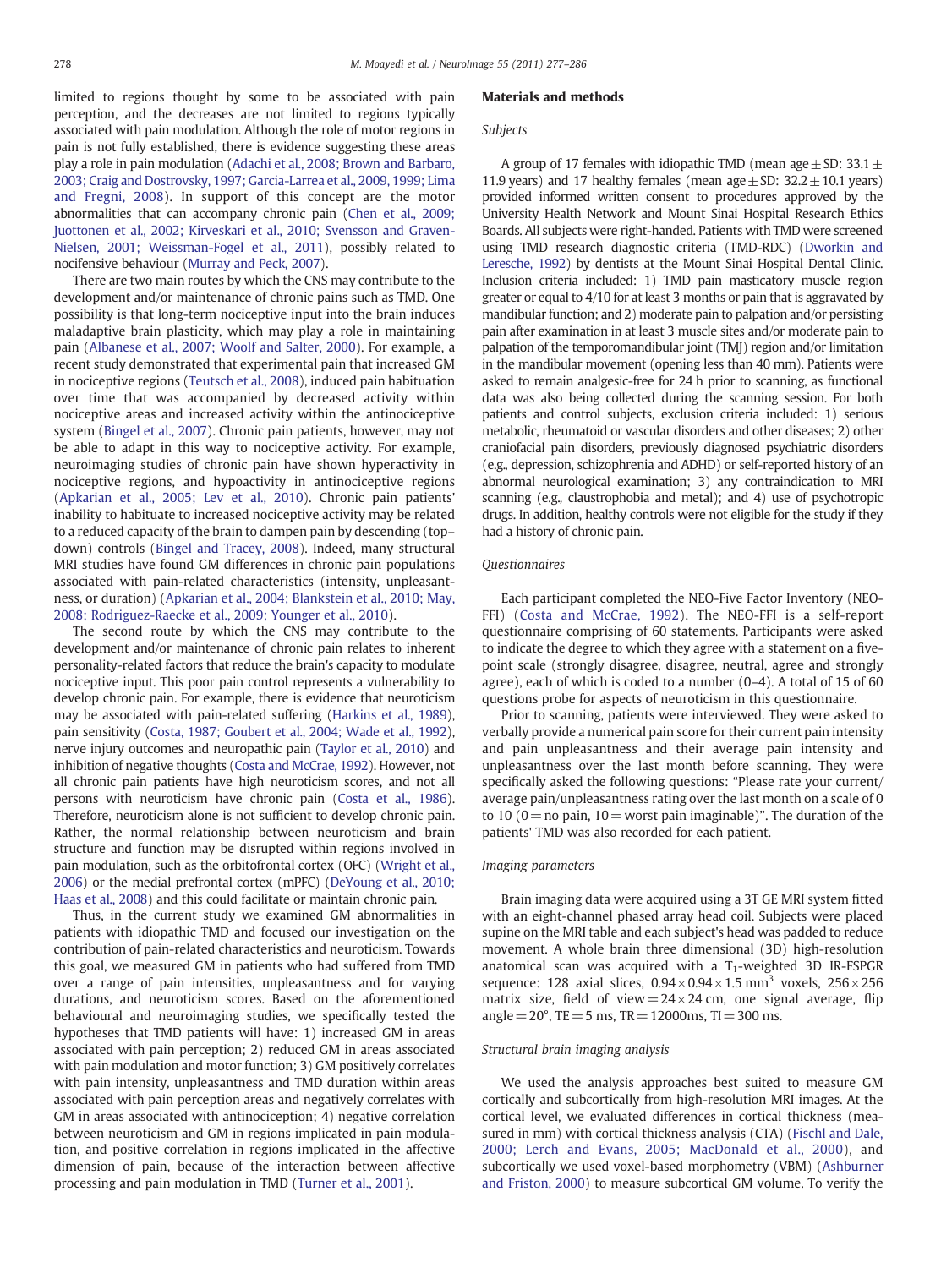limited to regions thought by some to be associated with pain perception, and the decreases are not limited to regions typically associated with pain modulation. Although the role of motor regions in pain is not fully established, there is evidence suggesting these areas play a role in pain modulation [\(Adachi et al., 2008; Brown and Barbaro,](#page-8-0) [2003; Craig and Dostrovsky, 1997; Garcia-Larrea et al., 2009, 1999; Lima](#page-8-0) [and Fregni, 2008\)](#page-8-0). In support of this concept are the motor abnormalities that can accompany chronic pain [\(Chen et al., 2009;](#page-8-0) [Juottonen et al., 2002; Kirveskari et al., 2010; Svensson and Graven-](#page-8-0)[Nielsen, 2001; Weissman-Fogel et al., 2011\)](#page-8-0), possibly related to nocifensive behaviour ([Murray and Peck, 2007](#page-9-0)).

There are two main routes by which the CNS may contribute to the development and/or maintenance of chronic pains such as TMD. One possibility is that long-term nociceptive input into the brain induces maladaptive brain plasticity, which may play a role in maintaining pain ([Albanese et al., 2007; Woolf and Salter, 2000\)](#page-8-0). For example, a recent study demonstrated that experimental pain that increased GM in nociceptive regions [\(Teutsch et al., 2008](#page-9-0)), induced pain habituation over time that was accompanied by decreased activity within nociceptive areas and increased activity within the antinociceptive system [\(Bingel et al., 2007\)](#page-8-0). Chronic pain patients, however, may not be able to adapt in this way to nociceptive activity. For example, neuroimaging studies of chronic pain have shown hyperactivity in nociceptive regions, and hypoactivity in antinociceptive regions [\(Apkarian et al., 2005; Lev et al., 2010\)](#page-8-0). Chronic pain patients' inability to habituate to increased nociceptive activity may be related to a reduced capacity of the brain to dampen pain by descending (top– down) controls [\(Bingel and Tracey, 2008](#page-8-0)). Indeed, many structural MRI studies have found GM differences in chronic pain populations associated with pain-related characteristics (intensity, unpleasantness, or duration) ([Apkarian et al., 2004; Blankstein et al., 2010; May,](#page-8-0) [2008; Rodriguez-Raecke et al., 2009; Younger et al., 2010\)](#page-8-0).

The second route by which the CNS may contribute to the development and/or maintenance of chronic pain relates to inherent personality-related factors that reduce the brain's capacity to modulate nociceptive input. This poor pain control represents a vulnerability to develop chronic pain. For example, there is evidence that neuroticism may be associated with pain-related suffering [\(Harkins et al., 1989\)](#page-8-0), pain sensitivity [\(Costa, 1987; Goubert et al., 2004; Wade et al., 1992\)](#page-8-0), nerve injury outcomes and neuropathic pain ([Taylor et al., 2010](#page-9-0)) and inhibition of negative thoughts [\(Costa and McCrae, 1992](#page-8-0)). However, not all chronic pain patients have high neuroticism scores, and not all persons with neuroticism have chronic pain ([Costa et al., 1986\)](#page-8-0). Therefore, neuroticism alone is not sufficient to develop chronic pain. Rather, the normal relationship between neuroticism and brain structure and function may be disrupted within regions involved in pain modulation, such as the orbitofrontal cortex (OFC) [\(Wright et al.,](#page-9-0) [2006\)](#page-9-0) or the medial prefrontal cortex (mPFC) ([DeYoung et al., 2010;](#page-8-0) [Haas et al., 2008](#page-8-0)) and this could facilitate or maintain chronic pain.

Thus, in the current study we examined GM abnormalities in patients with idiopathic TMD and focused our investigation on the contribution of pain-related characteristics and neuroticism. Towards this goal, we measured GM in patients who had suffered from TMD over a range of pain intensities, unpleasantness and for varying durations, and neuroticism scores. Based on the aforementioned behavioural and neuroimaging studies, we specifically tested the hypotheses that TMD patients will have: 1) increased GM in areas associated with pain perception; 2) reduced GM in areas associated with pain modulation and motor function; 3) GM positively correlates with pain intensity, unpleasantness and TMD duration within areas associated with pain perception areas and negatively correlates with GM in areas associated with antinociception; 4) negative correlation between neuroticism and GM in regions implicated in pain modulation, and positive correlation in regions implicated in the affective dimension of pain, because of the interaction between affective processing and pain modulation in TMD [\(Turner et al., 2001](#page-9-0)).

#### Materials and methods

# Subjects

A group of 17 females with idiopathic TMD (mean age  $\pm$  SD: 33.1  $\pm$ 11.9 years) and 17 healthy females (mean age  $\pm$  SD: 32.2  $\pm$  10.1 years) provided informed written consent to procedures approved by the University Health Network and Mount Sinai Hospital Research Ethics Boards. All subjects were right-handed. Patients with TMD were screened using TMD research diagnostic criteria (TMD-RDC) ([Dworkin and](#page-8-0) [Leresche, 1992](#page-8-0)) by dentists at the Mount Sinai Hospital Dental Clinic. Inclusion criteria included: 1) TMD pain masticatory muscle region greater or equal to 4/10 for at least 3 months or pain that is aggravated by mandibular function; and 2) moderate pain to palpation and/or persisting pain after examination in at least 3 muscle sites and/or moderate pain to palpation of the temporomandibular joint (TMJ) region and/or limitation in the mandibular movement (opening less than 40 mm). Patients were asked to remain analgesic-free for 24 h prior to scanning, as functional data was also being collected during the scanning session. For both patients and control subjects, exclusion criteria included: 1) serious metabolic, rheumatoid or vascular disorders and other diseases; 2) other craniofacial pain disorders, previously diagnosed psychiatric disorders (e.g., depression, schizophrenia and ADHD) or self-reported history of an abnormal neurological examination; 3) any contraindication to MRI scanning (e.g., claustrophobia and metal); and 4) use of psychotropic drugs. In addition, healthy controls were not eligible for the study if they had a history of chronic pain.

#### Questionnaires

Each participant completed the NEO-Five Factor Inventory (NEO-FFI) [\(Costa and McCrae, 1992](#page-8-0)). The NEO-FFI is a self-report questionnaire comprising of 60 statements. Participants were asked to indicate the degree to which they agree with a statement on a fivepoint scale (strongly disagree, disagree, neutral, agree and strongly agree), each of which is coded to a number (0–4). A total of 15 of 60 questions probe for aspects of neuroticism in this questionnaire.

Prior to scanning, patients were interviewed. They were asked to verbally provide a numerical pain score for their current pain intensity and pain unpleasantness and their average pain intensity and unpleasantness over the last month before scanning. They were specifically asked the following questions: "Please rate your current/ average pain/unpleasantness rating over the last month on a scale of 0 to 10 ( $0=$  no pain, 10 = worst pain imaginable)". The duration of the patients' TMD was also recorded for each patient.

#### Imaging parameters

Brain imaging data were acquired using a 3T GE MRI system fitted with an eight-channel phased array head coil. Subjects were placed supine on the MRI table and each subject's head was padded to reduce movement. A whole brain three dimensional (3D) high-resolution anatomical scan was acquired with a  $T_1$ -weighted 3D IR-FSPGR sequence: 128 axial slices,  $0.94 \times 0.94 \times 1.5$  mm<sup>3</sup> voxels,  $256 \times 256$ matrix size, field of view =  $24 \times 24$  cm, one signal average, flip angle =  $20^{\circ}$ , TE = 5 ms, TR = 12000ms, TI = 300 ms.

#### Structural brain imaging analysis

We used the analysis approaches best suited to measure GM cortically and subcortically from high-resolution MRI images. At the cortical level, we evaluated differences in cortical thickness (measured in mm) with cortical thickness analysis (CTA) [\(Fischl and Dale,](#page-8-0) [2000; Lerch and Evans, 2005; MacDonald et al., 2000\)](#page-8-0), and subcortically we used voxel-based morphometry (VBM) ([Ashburner](#page-8-0) [and Friston, 2000\)](#page-8-0) to measure subcortical GM volume. To verify the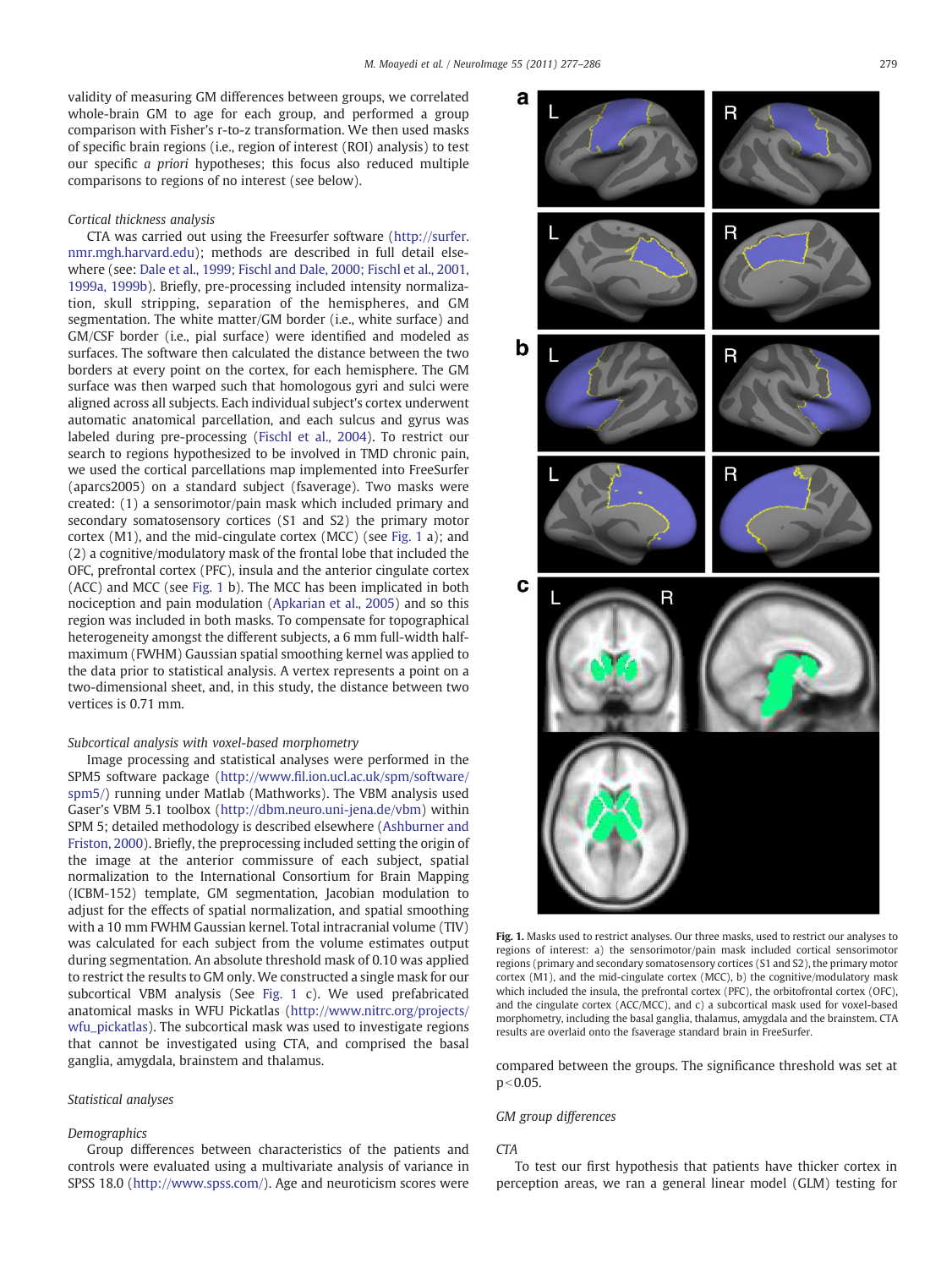validity of measuring GM differences between groups, we correlated whole-brain GM to age for each group, and performed a group comparison with Fisher's r-to-z transformation. We then used masks of specific brain regions (i.e., region of interest (ROI) analysis) to test our specific a priori hypotheses; this focus also reduced multiple comparisons to regions of no interest (see below).

#### Cortical thickness analysis

CTA was carried out using the Freesurfer software ([http://surfer.](http://surfer.nmr.mgh.harvard.edu) [nmr.mgh.harvard.edu\)](http://surfer.nmr.mgh.harvard.edu); methods are described in full detail elsewhere (see: [Dale et al., 1999; Fischl and Dale, 2000; Fischl et al., 2001,](#page-8-0) [1999a, 1999b](#page-8-0)). Briefly, pre-processing included intensity normalization, skull stripping, separation of the hemispheres, and GM segmentation. The white matter/GM border (i.e., white surface) and GM/CSF border (i.e., pial surface) were identified and modeled as surfaces. The software then calculated the distance between the two borders at every point on the cortex, for each hemisphere. The GM surface was then warped such that homologous gyri and sulci were aligned across all subjects. Each individual subject's cortex underwent automatic anatomical parcellation, and each sulcus and gyrus was labeled during pre-processing [\(Fischl et al., 2004](#page-8-0)). To restrict our search to regions hypothesized to be involved in TMD chronic pain, we used the cortical parcellations map implemented into FreeSurfer (aparcs2005) on a standard subject (fsaverage). Two masks were created: (1) a sensorimotor/pain mask which included primary and secondary somatosensory cortices (S1 and S2) the primary motor cortex (M1), and the mid-cingulate cortex (MCC) (see Fig. 1 a); and (2) a cognitive/modulatory mask of the frontal lobe that included the OFC, prefrontal cortex (PFC), insula and the anterior cingulate cortex (ACC) and MCC (see Fig. 1 b). The MCC has been implicated in both nociception and pain modulation ([Apkarian et al., 2005\)](#page-8-0) and so this region was included in both masks. To compensate for topographical heterogeneity amongst the different subjects, a 6 mm full-width halfmaximum (FWHM) Gaussian spatial smoothing kernel was applied to the data prior to statistical analysis. A vertex represents a point on a two-dimensional sheet, and, in this study, the distance between two vertices is 0.71 mm.

# Subcortical analysis with voxel-based morphometry

Image processing and statistical analyses were performed in the SPM5 software package (http://www.fi[l.ion.ucl.ac.uk/spm/software/](http://www.fil.ion.ucl.ac.uk/spm/software/spm5/) [spm5/](http://www.fil.ion.ucl.ac.uk/spm/software/spm5/)) running under Matlab (Mathworks). The VBM analysis used Gaser's VBM 5.1 toolbox ([http://dbm.neuro.uni-jena.de/vbm\)](http://dbm.neuro.uni-jena.de/vbm) within SPM 5; detailed methodology is described elsewhere ([Ashburner and](#page-8-0) [Friston, 2000\)](#page-8-0). Briefly, the preprocessing included setting the origin of the image at the anterior commissure of each subject, spatial normalization to the International Consortium for Brain Mapping (ICBM-152) template, GM segmentation, Jacobian modulation to adjust for the effects of spatial normalization, and spatial smoothing with a 10 mm FWHM Gaussian kernel. Total intracranial volume (TIV) was calculated for each subject from the volume estimates output during segmentation. An absolute threshold mask of 0.10 was applied to restrict the results to GM only. We constructed a single mask for our subcortical VBM analysis (See Fig. 1 c). We used prefabricated anatomical masks in WFU Pickatlas ([http://www.nitrc.org/projects/](http://www.nitrc.org/projects/wfu_pickatlas) [wfu\\_pickatlas\)](http://www.nitrc.org/projects/wfu_pickatlas). The subcortical mask was used to investigate regions that cannot be investigated using CTA, and comprised the basal ganglia, amygdala, brainstem and thalamus.

# Statistical analyses

### Demographics

Group differences between characteristics of the patients and controls were evaluated using a multivariate analysis of variance in SPSS 18.0 [\(http://www.spss.com/\)](http://www.spss.com/). Age and neuroticism scores were



Fig. 1. Masks used to restrict analyses. Our three masks, used to restrict our analyses to regions of interest: a) the sensorimotor/pain mask included cortical sensorimotor regions (primary and secondary somatosensory cortices (S1 and S2), the primary motor cortex (M1), and the mid-cingulate cortex (MCC), b) the cognitive/modulatory mask which included the insula, the prefrontal cortex (PFC), the orbitofrontal cortex (OFC), and the cingulate cortex (ACC/MCC), and c) a subcortical mask used for voxel-based morphometry, including the basal ganglia, thalamus, amygdala and the brainstem. CTA results are overlaid onto the fsaverage standard brain in FreeSurfer.

compared between the groups. The significance threshold was set at  $p < 0.05$ .

# GM group differences

# **CTA**

To test our first hypothesis that patients have thicker cortex in perception areas, we ran a general linear model (GLM) testing for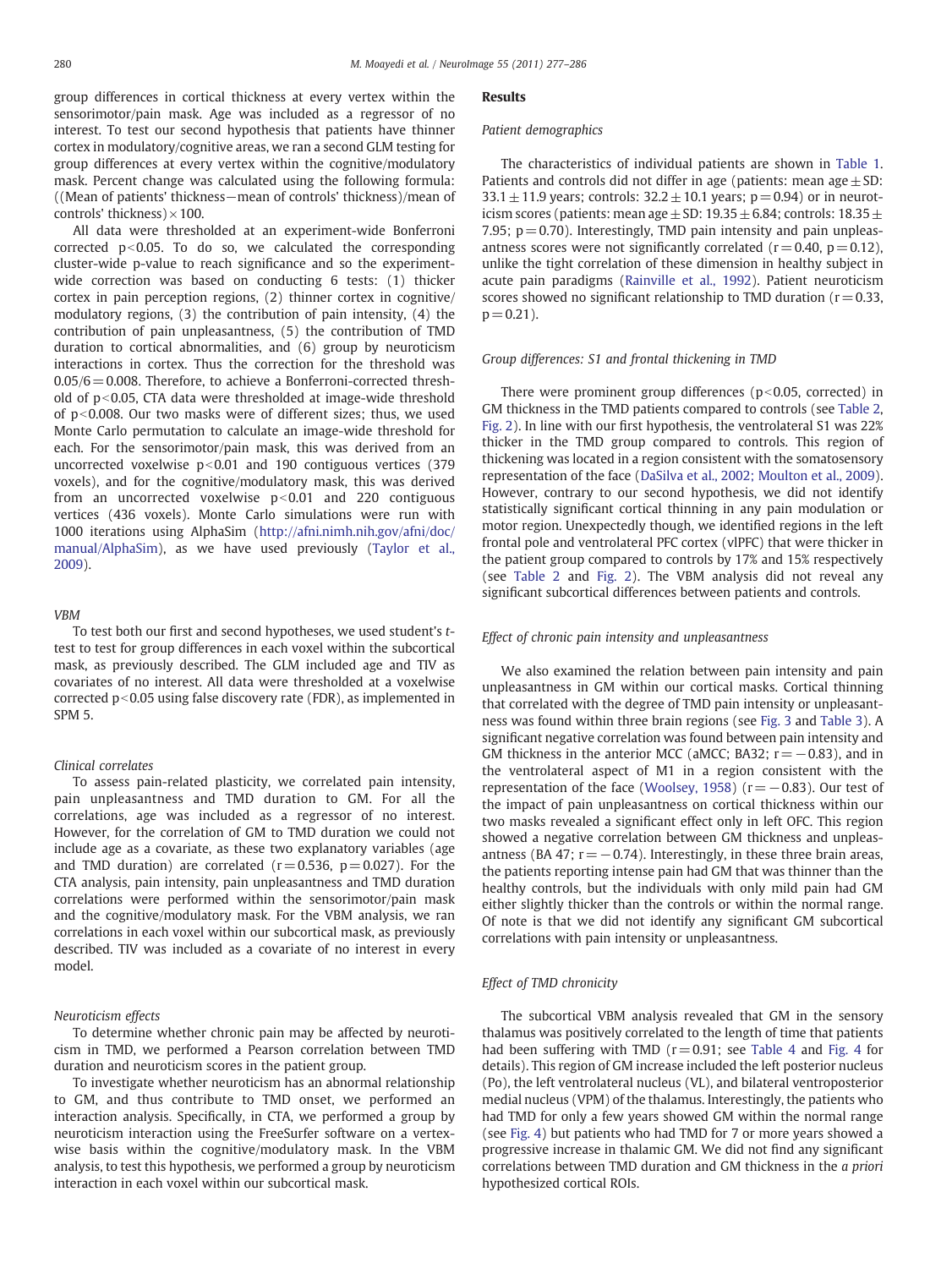group differences in cortical thickness at every vertex within the sensorimotor/pain mask. Age was included as a regressor of no interest. To test our second hypothesis that patients have thinner cortex in modulatory/cognitive areas, we ran a second GLM testing for group differences at every vertex within the cognitive/modulatory mask. Percent change was calculated using the following formula: ((Mean of patients' thickness−mean of controls' thickness)/mean of controls' thickness)  $\times$  100.

All data were thresholded at an experiment-wide Bonferroni corrected  $p<0.05$ . To do so, we calculated the corresponding cluster-wide p-value to reach significance and so the experimentwide correction was based on conducting 6 tests: (1) thicker cortex in pain perception regions, (2) thinner cortex in cognitive/ modulatory regions, (3) the contribution of pain intensity, (4) the contribution of pain unpleasantness, (5) the contribution of TMD duration to cortical abnormalities, and (6) group by neuroticism interactions in cortex. Thus the correction for the threshold was  $0.05/6 = 0.008$ . Therefore, to achieve a Bonferroni-corrected threshold of  $p<0.05$ , CTA data were thresholded at image-wide threshold of  $p<0.008$ . Our two masks were of different sizes; thus, we used Monte Carlo permutation to calculate an image-wide threshold for each. For the sensorimotor/pain mask, this was derived from an uncorrected voxelwise  $p<0.01$  and 190 contiguous vertices (379 voxels), and for the cognitive/modulatory mask, this was derived from an uncorrected voxelwise  $p<0.01$  and 220 contiguous vertices (436 voxels). Monte Carlo simulations were run with 1000 iterations using AlphaSim [\(http://afni.nimh.nih.gov/afni/doc/](http://afni.nimh.nih.gov/afni/doc/manual/AlphaSim) [manual/AlphaSim\)](http://afni.nimh.nih.gov/afni/doc/manual/AlphaSim), as we have used previously [\(Taylor et al.,](#page-9-0) [2009\)](#page-9-0).

#### VBM

To test both our first and second hypotheses, we used student's ttest to test for group differences in each voxel within the subcortical mask, as previously described. The GLM included age and TIV as covariates of no interest. All data were thresholded at a voxelwise corrected  $p<0.05$  using false discovery rate (FDR), as implemented in SPM 5.

#### Clinical correlates

To assess pain-related plasticity, we correlated pain intensity, pain unpleasantness and TMD duration to GM. For all the correlations, age was included as a regressor of no interest. However, for the correlation of GM to TMD duration we could not include age as a covariate, as these two explanatory variables (age and TMD duration) are correlated ( $r = 0.536$ ,  $p = 0.027$ ). For the CTA analysis, pain intensity, pain unpleasantness and TMD duration correlations were performed within the sensorimotor/pain mask and the cognitive/modulatory mask. For the VBM analysis, we ran correlations in each voxel within our subcortical mask, as previously described. TIV was included as a covariate of no interest in every model.

#### Neuroticism effects

To determine whether chronic pain may be affected by neuroticism in TMD, we performed a Pearson correlation between TMD duration and neuroticism scores in the patient group.

To investigate whether neuroticism has an abnormal relationship to GM, and thus contribute to TMD onset, we performed an interaction analysis. Specifically, in CTA, we performed a group by neuroticism interaction using the FreeSurfer software on a vertexwise basis within the cognitive/modulatory mask. In the VBM analysis, to test this hypothesis, we performed a group by neuroticism interaction in each voxel within our subcortical mask.

#### Results

#### Patient demographics

The characteristics of individual patients are shown in [Table 1.](#page-4-0) Patients and controls did not differ in age (patients: mean age  $\pm$  SD: 33.1  $\pm$  11.9 years; controls: 32.2  $\pm$  10.1 years; p = 0.94) or in neuroticism scores (patients: mean age  $\pm$  SD: 19.35  $\pm$  6.84; controls: 18.35  $\pm$ 7.95;  $p = 0.70$ ). Interestingly, TMD pain intensity and pain unpleasantness scores were not significantly correlated  $(r= 0.40, p= 0.12)$ , unlike the tight correlation of these dimension in healthy subject in acute pain paradigms [\(Rainville et al., 1992](#page-9-0)). Patient neuroticism scores showed no significant relationship to TMD duration ( $r = 0.33$ ,  $p = 0.21$ ).

#### Group differences: S1 and frontal thickening in TMD

There were prominent group differences ( $p<0.05$ , corrected) in GM thickness in the TMD patients compared to controls (see [Table 2,](#page-4-0) [Fig. 2\)](#page-5-0). In line with our first hypothesis, the ventrolateral S1 was 22% thicker in the TMD group compared to controls. This region of thickening was located in a region consistent with the somatosensory representation of the face ([DaSilva et al., 2002; Moulton et al., 2009](#page-8-0)). However, contrary to our second hypothesis, we did not identify statistically significant cortical thinning in any pain modulation or motor region. Unexpectedly though, we identified regions in the left frontal pole and ventrolateral PFC cortex (vlPFC) that were thicker in the patient group compared to controls by 17% and 15% respectively (see [Table 2](#page-4-0) and [Fig. 2](#page-5-0)). The VBM analysis did not reveal any significant subcortical differences between patients and controls.

# Effect of chronic pain intensity and unpleasantness

We also examined the relation between pain intensity and pain unpleasantness in GM within our cortical masks. Cortical thinning that correlated with the degree of TMD pain intensity or unpleasantness was found within three brain regions (see [Fig. 3](#page-6-0) and [Table 3\)](#page-6-0). A significant negative correlation was found between pain intensity and GM thickness in the anterior MCC (aMCC; BA32;  $r = -0.83$ ), and in the ventrolateral aspect of M1 in a region consistent with the representation of the face [\(Woolsey, 1958\)](#page-9-0) ( $r=-0.83$ ). Our test of the impact of pain unpleasantness on cortical thickness within our two masks revealed a significant effect only in left OFC. This region showed a negative correlation between GM thickness and unpleasantness (BA 47;  $r = -0.74$ ). Interestingly, in these three brain areas, the patients reporting intense pain had GM that was thinner than the healthy controls, but the individuals with only mild pain had GM either slightly thicker than the controls or within the normal range. Of note is that we did not identify any significant GM subcortical correlations with pain intensity or unpleasantness.

#### Effect of TMD chronicity

The subcortical VBM analysis revealed that GM in the sensory thalamus was positively correlated to the length of time that patients had been suffering with TMD ( $r = 0.91$ ; see [Table 4](#page-6-0) and [Fig. 4](#page-7-0) for details). This region of GM increase included the left posterior nucleus (Po), the left ventrolateral nucleus (VL), and bilateral ventroposterior medial nucleus (VPM) of the thalamus. Interestingly, the patients who had TMD for only a few years showed GM within the normal range (see [Fig. 4\)](#page-7-0) but patients who had TMD for 7 or more years showed a progressive increase in thalamic GM. We did not find any significant correlations between TMD duration and GM thickness in the a priori hypothesized cortical ROIs.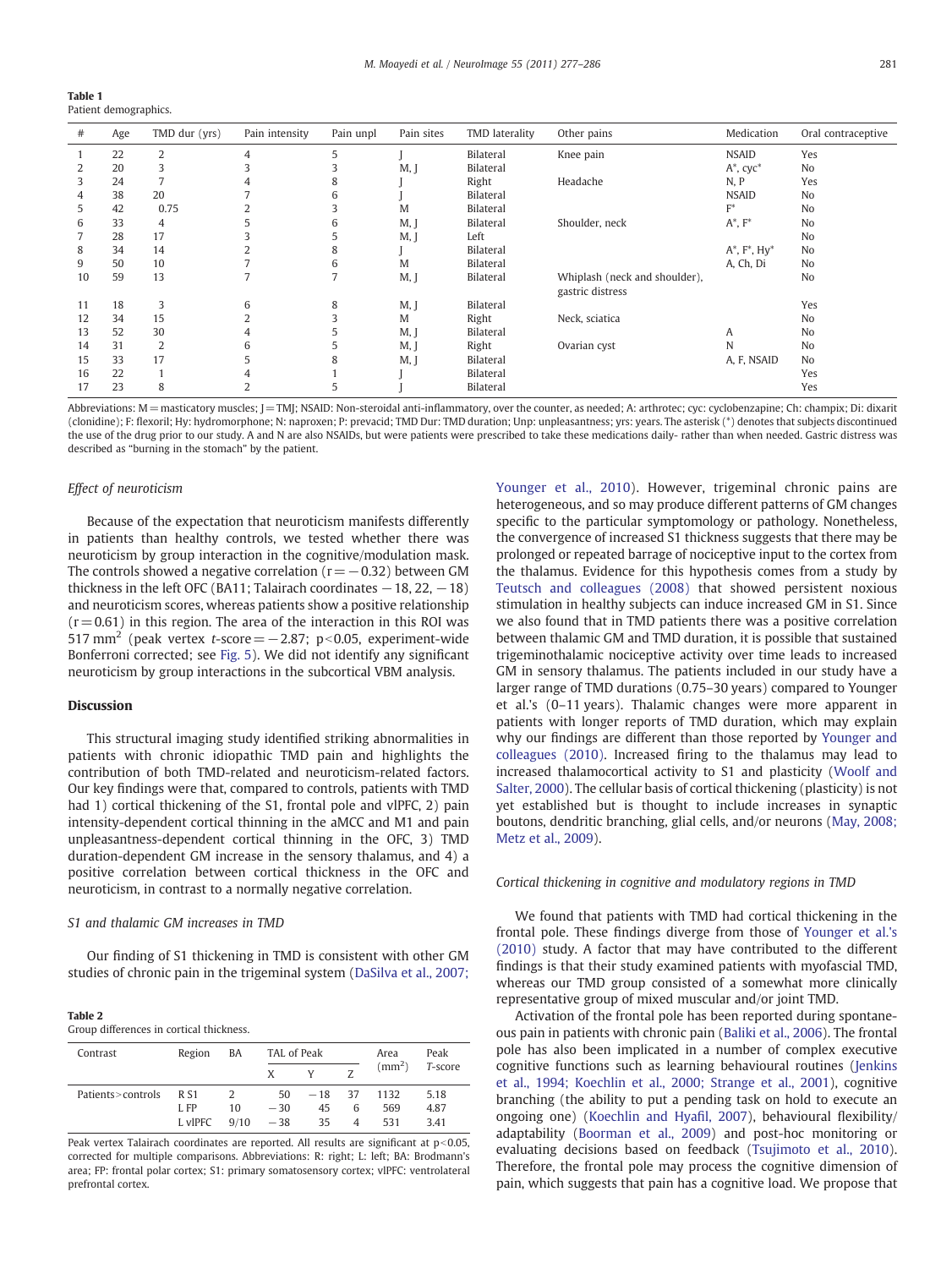<span id="page-4-0"></span>

| Table 1 |                       |
|---------|-----------------------|
|         | Patient demographics. |

| #  | Age | TMD dur (yrs) | Pain intensity | Pain unpl | Pain sites | TMD laterality   | Other pains                   | Medication             | Oral contraceptive |
|----|-----|---------------|----------------|-----------|------------|------------------|-------------------------------|------------------------|--------------------|
|    | 22  | 2             | 4              | 5         |            | Bilateral        | Knee pain                     | <b>NSAID</b>           | Yes                |
|    | 20  | 3             |                | 3         | M,         | Bilateral        |                               | $A^*$ , $cyc^*$        | No                 |
| 3  | 24  | 7             | 4              | 8         |            | Right            | Headache                      | N, P                   | Yes                |
| 4  | 38  | 20            |                | 6         |            | Bilateral        |                               | <b>NSAID</b>           | N <sub>o</sub>     |
|    | 42  | 0.75          |                | 3         | M          | Bilateral        |                               | $F^*$                  | N <sub>o</sub>     |
| 6  | 33  | 4             |                | 6         | M, J       | Bilateral        | Shoulder, neck                | $A^*, F^*$             | N <sub>o</sub>     |
|    | 28  | 17            |                |           | M, J       | Left             |                               |                        | N <sub>o</sub>     |
| 8  | 34  | 14            |                | 8         |            | Bilateral        |                               | $A^*$ , $F^*$ , $Hy^*$ | N <sub>o</sub>     |
| 9  | 50  | 10            |                | 6         | M          | Bilateral        |                               | A, Ch, Di              | No                 |
| 10 | 59  | 13            |                |           | M, J       | Bilateral        | Whiplash (neck and shoulder), |                        | N <sub>o</sub>     |
| 11 | 18  | 3             | 6              | 8         |            | Bilateral        | gastric distress              |                        | Yes                |
| 12 | 34  | 15            |                | 3         | M, J       |                  |                               |                        | N <sub>o</sub>     |
|    |     |               |                |           | M          | Right            | Neck, sciatica                |                        |                    |
| 13 | 52  | 30            | 4              |           | M, J       | <b>Bilateral</b> |                               | A                      | N <sub>o</sub>     |
| 14 | 31  | 2             | 6              |           | M,         | Right            | Ovarian cyst                  | N                      | No                 |
| 15 | 33  | 17            |                | 8         | M,         | Bilateral        |                               | A, F, NSAID            | N <sub>o</sub>     |
| 16 | 22  | 1             |                |           |            | Bilateral        |                               |                        | Yes                |
| 17 | 23  | 8             |                | ה         |            | <b>Bilateral</b> |                               |                        | Yes                |

Abbreviations: M = masticatory muscles; J = TMJ; NSAID: Non-steroidal anti-inflammatory, over the counter, as needed; A: arthrotec; cyc: cyclobenzapine; Ch: champix; Di: dixarit (clonidine); F: flexoril; Hy: hydromorphone; N: naproxen; P: prevacid; TMD Dur: TMD duration; Unp: unpleasantness; yrs: years. The asterisk (\*) denotes that subjects discontinued the use of the drug prior to our study. A and N are also NSAIDs, but were patients were prescribed to take these medications daily- rather than when needed. Gastric distress was described as "burning in the stomach" by the patient.

#### Effect of neuroticism

Because of the expectation that neuroticism manifests differently in patients than healthy controls, we tested whether there was neuroticism by group interaction in the cognitive/modulation mask. The controls showed a negative correlation ( $r=-0.32$ ) between GM thickness in the left OFC (BA11; Talairach coordinates  $-18$ , 22,  $-18$ ) and neuroticism scores, whereas patients show a positive relationship  $(r= 0.61)$  in this region. The area of the interaction in this ROI was 517 mm<sup>2</sup> (peak vertex t-score =  $-2.87$ ; p<0.05, experiment-wide Bonferroni corrected; see [Fig. 5](#page-7-0)). We did not identify any significant neuroticism by group interactions in the subcortical VBM analysis.

## Discussion

This structural imaging study identified striking abnormalities in patients with chronic idiopathic TMD pain and highlights the contribution of both TMD-related and neuroticism-related factors. Our key findings were that, compared to controls, patients with TMD had 1) cortical thickening of the S1, frontal pole and vlPFC, 2) pain intensity-dependent cortical thinning in the aMCC and M1 and pain unpleasantness-dependent cortical thinning in the OFC, 3) TMD duration-dependent GM increase in the sensory thalamus, and 4) a positive correlation between cortical thickness in the OFC and neuroticism, in contrast to a normally negative correlation.

#### S1 and thalamic GM increases in TMD

Our finding of S1 thickening in TMD is consistent with other GM studies of chronic pain in the trigeminal system ([DaSilva et al., 2007;](#page-8-0)

#### Table 2

Group differences in cortical thickness.

| Contrast          | Region     | BA   | TAL of Peak |       |      | Area         | Peak    |
|-------------------|------------|------|-------------|-------|------|--------------|---------|
|                   |            |      | X           |       |      | $\rm (mm^2)$ | T-score |
| Patients>controls | <b>RS1</b> |      | 50          | $-18$ | - 37 | 1132         | 5.18    |
|                   | L FP       | 10   | $-30$       | 45    | 6    | 569          | 4.87    |
|                   | L vlPFC    | 9/10 | $-38$       | 35    | 4    | 531          | 3.41    |

Peak vertex Talairach coordinates are reported. All results are significant at  $p<0.05$ , corrected for multiple comparisons. Abbreviations: R: right; L: left; BA: Brodmann's area; FP: frontal polar cortex; S1: primary somatosensory cortex; vlPFC: ventrolateral prefrontal cortex.

[Younger et al., 2010\)](#page-8-0). However, trigeminal chronic pains are heterogeneous, and so may produce different patterns of GM changes specific to the particular symptomology or pathology. Nonetheless, the convergence of increased S1 thickness suggests that there may be prolonged or repeated barrage of nociceptive input to the cortex from the thalamus. Evidence for this hypothesis comes from a study by [Teutsch and colleagues \(2008\)](#page-9-0) that showed persistent noxious stimulation in healthy subjects can induce increased GM in S1. Since we also found that in TMD patients there was a positive correlation between thalamic GM and TMD duration, it is possible that sustained trigeminothalamic nociceptive activity over time leads to increased GM in sensory thalamus. The patients included in our study have a larger range of TMD durations (0.75–30 years) compared to Younger et al.'s (0–11 years). Thalamic changes were more apparent in patients with longer reports of TMD duration, which may explain why our findings are different than those reported by [Younger and](#page-9-0) [colleagues \(2010\).](#page-9-0) Increased firing to the thalamus may lead to increased thalamocortical activity to S1 and plasticity ([Woolf and](#page-9-0) [Salter, 2000\)](#page-9-0). The cellular basis of cortical thickening (plasticity) is not yet established but is thought to include increases in synaptic boutons, dendritic branching, glial cells, and/or neurons ([May, 2008;](#page-9-0) [Metz et al., 2009](#page-9-0)).

### Cortical thickening in cognitive and modulatory regions in TMD

We found that patients with TMD had cortical thickening in the frontal pole. These findings diverge from those of [Younger et al.'s](#page-9-0) [\(2010\)](#page-9-0) study. A factor that may have contributed to the different findings is that their study examined patients with myofascial TMD, whereas our TMD group consisted of a somewhat more clinically representative group of mixed muscular and/or joint TMD.

Activation of the frontal pole has been reported during spontaneous pain in patients with chronic pain [\(Baliki et al., 2006](#page-8-0)). The frontal pole has also been implicated in a number of complex executive cognitive functions such as learning behavioural routines [\(Jenkins](#page-8-0) [et al., 1994; Koechlin et al., 2000; Strange et al., 2001](#page-8-0)), cognitive branching (the ability to put a pending task on hold to execute an ongoing one) ([Koechlin and Hya](#page-8-0)fil, 2007), behavioural flexibility/ adaptability [\(Boorman et al., 2009\)](#page-8-0) and post-hoc monitoring or evaluating decisions based on feedback ([Tsujimoto et al., 2010](#page-9-0)). Therefore, the frontal pole may process the cognitive dimension of pain, which suggests that pain has a cognitive load. We propose that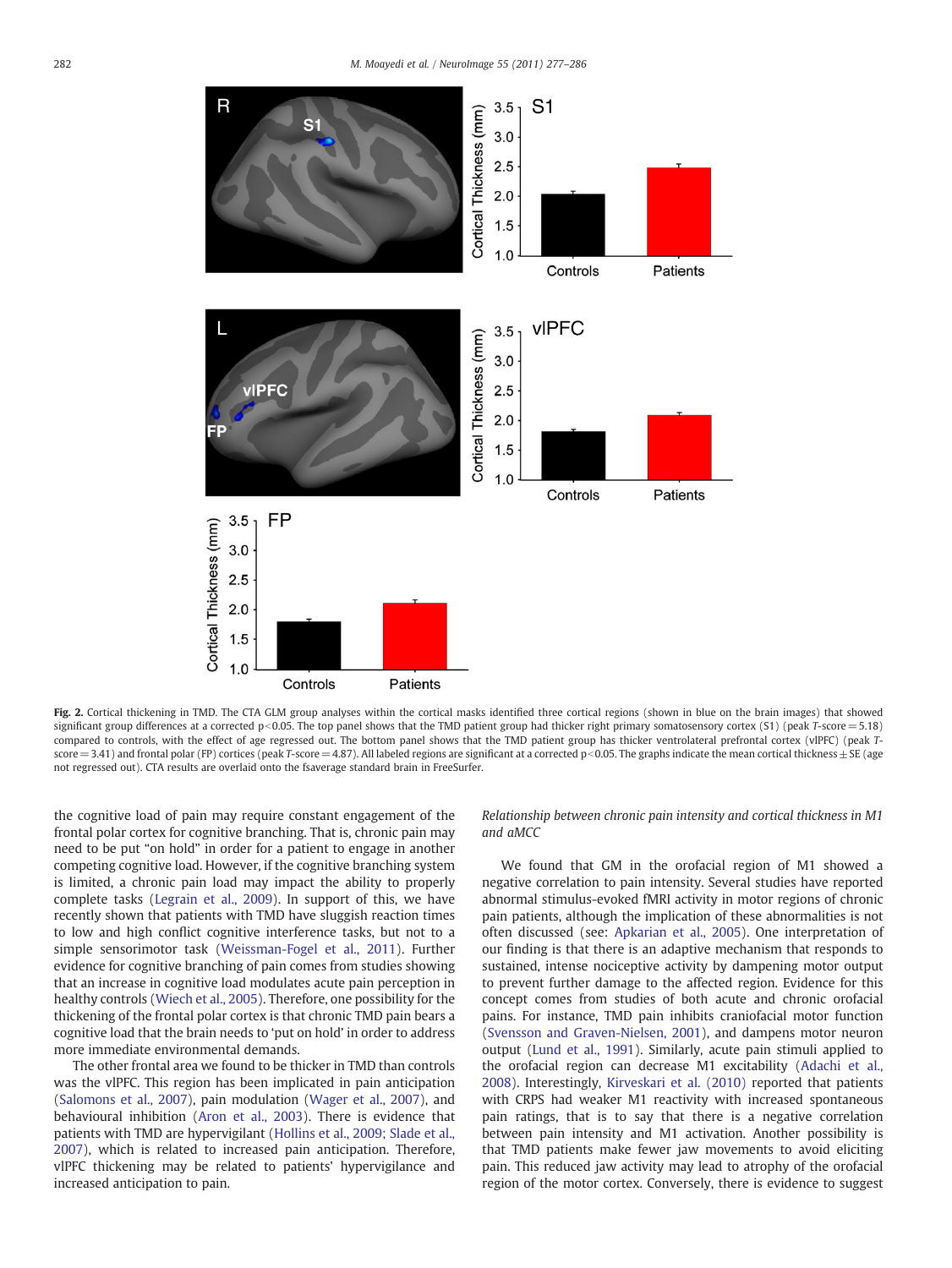<span id="page-5-0"></span>

Fig. 2. Cortical thickening in TMD. The CTA GLM group analyses within the cortical masks identified three cortical regions (shown in blue on the brain images) that showed significant group differences at a corrected  $p<0.05$ . The top panel shows that the TMD patient group had thicker right primary somatosensory cortex (S1) (peak T-score = 5.18) compared to controls, with the effect of age regressed out. The bottom panel shows that the TMD patient group has thicker ventrolateral prefrontal cortex (vlPFC) (peak T $score = 3.41$ ) and frontal polar (FP) cortices (peak T-score = 4.87). All labeled regions are significant at a corrected p<0.05. The graphs indicate the mean cortical thickness  $\pm$  SE (age not regressed out). CTA results are overlaid onto the fsaverage standard brain in FreeSurfer.

the cognitive load of pain may require constant engagement of the frontal polar cortex for cognitive branching. That is, chronic pain may need to be put "on hold" in order for a patient to engage in another competing cognitive load. However, if the cognitive branching system is limited, a chronic pain load may impact the ability to properly complete tasks ([Legrain et al., 2009](#page-8-0)). In support of this, we have recently shown that patients with TMD have sluggish reaction times to low and high conflict cognitive interference tasks, but not to a simple sensorimotor task ([Weissman-Fogel et al., 2011\)](#page-9-0). Further evidence for cognitive branching of pain comes from studies showing that an increase in cognitive load modulates acute pain perception in healthy controls [\(Wiech et al., 2005](#page-9-0)). Therefore, one possibility for the thickening of the frontal polar cortex is that chronic TMD pain bears a cognitive load that the brain needs to 'put on hold' in order to address more immediate environmental demands.

The other frontal area we found to be thicker in TMD than controls was the vlPFC. This region has been implicated in pain anticipation [\(Salomons et al., 2007](#page-9-0)), pain modulation ([Wager et al., 2007\)](#page-9-0), and behavioural inhibition [\(Aron et al., 2003\)](#page-8-0). There is evidence that patients with TMD are hypervigilant ([Hollins et al., 2009; Slade et al.,](#page-8-0) [2007\)](#page-8-0), which is related to increased pain anticipation. Therefore, vlPFC thickening may be related to patients' hypervigilance and increased anticipation to pain.

Relationship between chronic pain intensity and cortical thickness in M1 and aMCC

We found that GM in the orofacial region of M1 showed a negative correlation to pain intensity. Several studies have reported abnormal stimulus-evoked fMRI activity in motor regions of chronic pain patients, although the implication of these abnormalities is not often discussed (see: [Apkarian et al., 2005\)](#page-8-0). One interpretation of our finding is that there is an adaptive mechanism that responds to sustained, intense nociceptive activity by dampening motor output to prevent further damage to the affected region. Evidence for this concept comes from studies of both acute and chronic orofacial pains. For instance, TMD pain inhibits craniofacial motor function [\(Svensson and Graven-Nielsen, 2001\)](#page-9-0), and dampens motor neuron output [\(Lund et al., 1991](#page-9-0)). Similarly, acute pain stimuli applied to the orofacial region can decrease M1 excitability [\(Adachi et al.,](#page-8-0) [2008\)](#page-8-0). Interestingly, [Kirveskari et al. \(2010\)](#page-8-0) reported that patients with CRPS had weaker M1 reactivity with increased spontaneous pain ratings, that is to say that there is a negative correlation between pain intensity and M1 activation. Another possibility is that TMD patients make fewer jaw movements to avoid eliciting pain. This reduced jaw activity may lead to atrophy of the orofacial region of the motor cortex. Conversely, there is evidence to suggest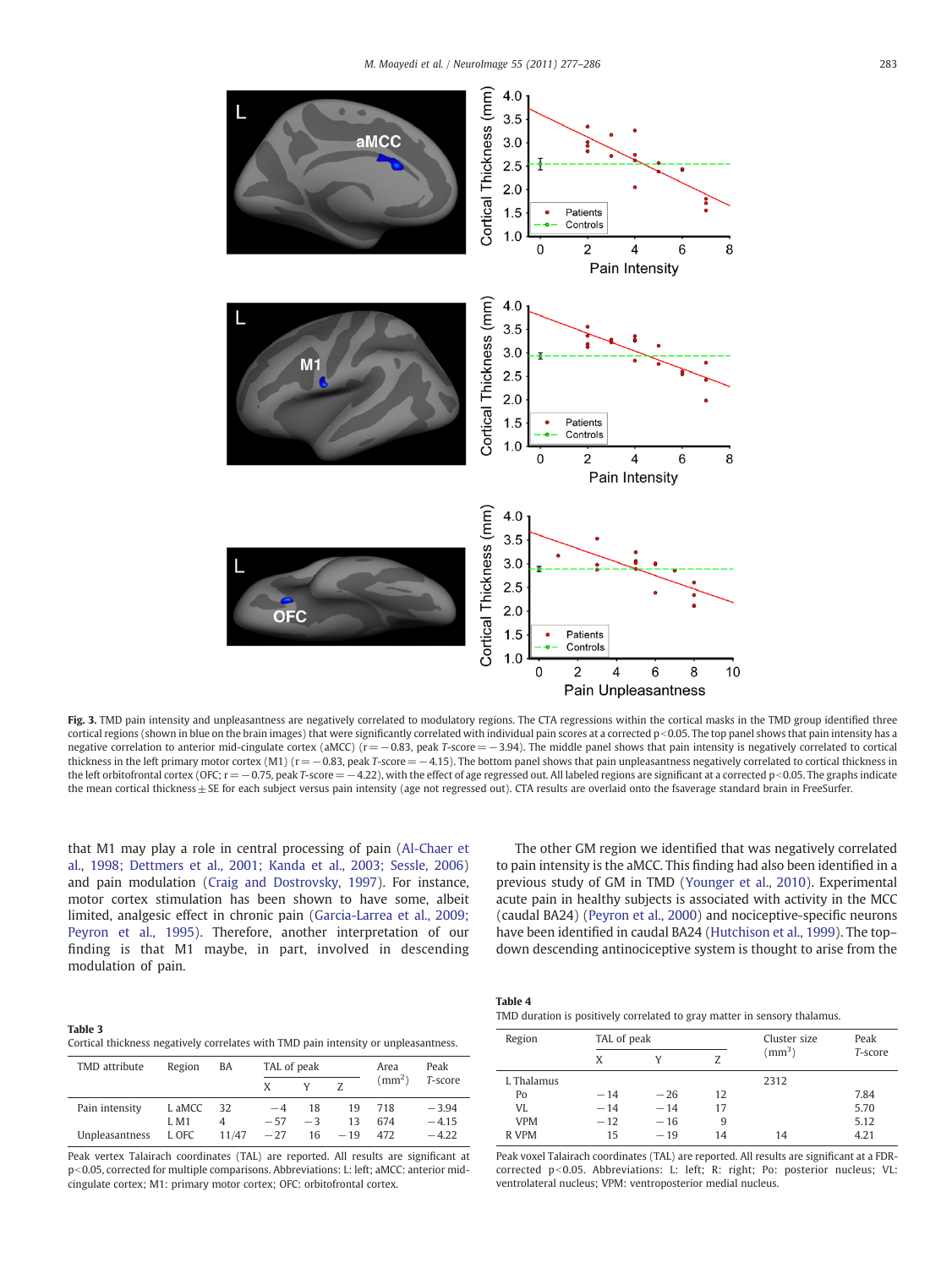M. Moayedi et al. / NeuroImage 55 (2011) 277–286 283

<span id="page-6-0"></span>

Fig. 3. TMD pain intensity and unpleasantness are negatively correlated to modulatory regions. The CTA regressions within the cortical masks in the TMD group identified three cortical regions (shown in blue on the brain images) that were significantly correlated with individual pain scores at a corrected  $p$  < 0.05. The top panel shows that pain intensity has a negative correlation to anterior mid-cingulate cortex (aMCC) (r = −0.83, peak T-score = −3.94). The middle panel shows that pain intensity is negatively correlated to cortical thickness in the left primary motor cortex (M1) ( $r = -0.83$ , peak T-score = −4.15). The bottom panel shows that pain unpleasantness negatively correlated to cortical thickness in the left orbitofrontal cortex (OFC;  $r = -0.75$ , peak T-score = -4.22), with the effect of age regressed out. All labeled regions are significant at a corrected p < 0.05. The graphs indicate the mean cortical thickness ± SE for each subject versus pain intensity (age not regressed out). CTA results are overlaid onto the fsaverage standard brain in FreeSurfer.

that M1 may play a role in central processing of pain ([Al-Chaer et](#page-8-0) [al., 1998; Dettmers et al., 2001; Kanda et al., 2003; Sessle, 2006](#page-8-0)) and pain modulation [\(Craig and Dostrovsky, 1997](#page-8-0)). For instance, motor cortex stimulation has been shown to have some, albeit limited, analgesic effect in chronic pain ([Garcia-Larrea et al., 2009;](#page-8-0) [Peyron et al., 1995\)](#page-8-0). Therefore, another interpretation of our finding is that M1 maybe, in part, involved in descending modulation of pain.

The other GM region we identified that was negatively correlated to pain intensity is the aMCC. This finding had also been identified in a previous study of GM in TMD ([Younger et al., 2010](#page-9-0)). Experimental acute pain in healthy subjects is associated with activity in the MCC (caudal BA24) [\(Peyron et al., 2000](#page-9-0)) and nociceptive-specific neurons have been identified in caudal BA24 ([Hutchison et al., 1999\)](#page-8-0). The topdown descending antinociceptive system is thought to arise from the

| Table 3                                                                             |  |  |
|-------------------------------------------------------------------------------------|--|--|
| Cortical thickness negatively correlates with TMD pain intensity or unpleasantness. |  |  |

| TMD attribute  | Region      | BA    | TAL of peak |      |       | Area         | Peak    |
|----------------|-------------|-------|-------------|------|-------|--------------|---------|
|                |             |       | X           |      |       | $\rm (mm^2)$ | T-score |
| Pain intensity | L aMCC      | 32    | $-4$        | 18   | 19    | 718          | $-3.94$ |
|                | <b>J.M1</b> | 4     | $-57$       | $-3$ | 13    | 674          | $-4.15$ |
| Unpleasantness | L OFC       | 11/47 | $-27$       | 16   | $-19$ | 472          | $-4.22$ |

Peak vertex Talairach coordinates (TAL) are reported. All results are significant at p<0.05, corrected for multiple comparisons. Abbreviations: L: left; aMCC: anterior midcingulate cortex; M1: primary motor cortex; OFC: orbitofrontal cortex.

| TMD duration is positively correlated to gray matter in sensory thalamus. |  |
|---------------------------------------------------------------------------|--|
|---------------------------------------------------------------------------|--|

| Region             | TAL of peak |       |    | Cluster size | Peak    |
|--------------------|-------------|-------|----|--------------|---------|
|                    | X           |       | 7  | $\rm (mm^3)$ | T-score |
| <b>L.</b> Thalamus |             |       |    | 2312         |         |
| Po                 | $-14$       | $-26$ | 12 |              | 7.84    |
| VI.                | $-14$       | $-14$ | 17 |              | 5.70    |
| <b>VPM</b>         | $-12$       | $-16$ | 9  |              | 5.12    |
| R VPM              | 15          | $-19$ | 14 | 14           | 4.21    |

Peak voxel Talairach coordinates (TAL) are reported. All results are significant at a FDRcorrected p<0.05. Abbreviations: L: left; R: right; Po: posterior nucleus; VL: ventrolateral nucleus; VPM: ventroposterior medial nucleus.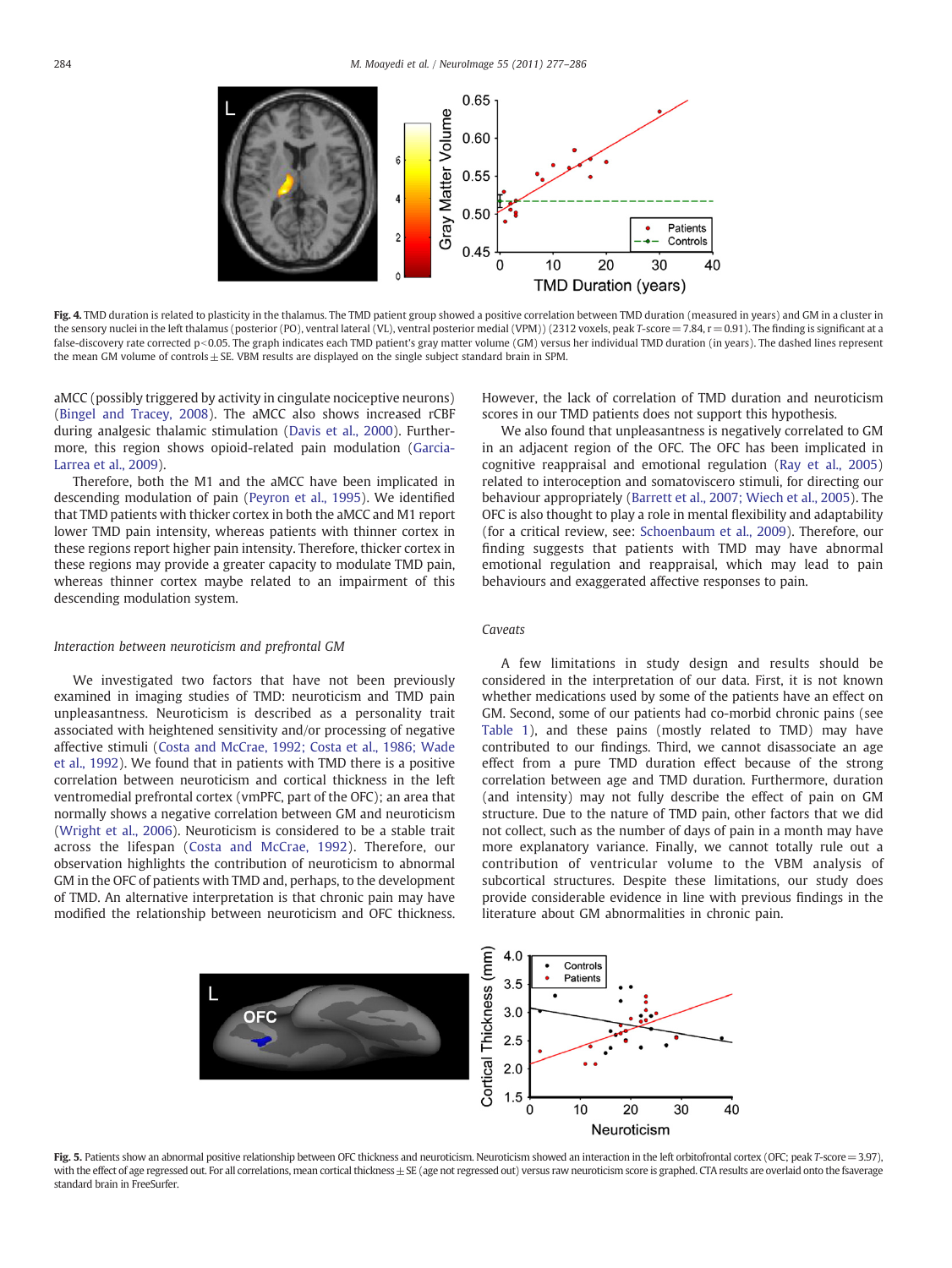<span id="page-7-0"></span>

Fig. 4. TMD duration is related to plasticity in the thalamus. The TMD patient group showed a positive correlation between TMD duration (measured in years) and GM in a cluster in the sensory nuclei in the left thalamus (posterior (PO), ventral lateral (VL), ventral posterior medial (VPM)) (2312 voxels, peak T-score = 7.84, r = 0.91). The finding is significant at a false-discovery rate corrected p<0.05. The graph indicates each TMD patient's gray matter volume (GM) versus her individual TMD duration (in years). The dashed lines represent the mean GM volume of controls  $\pm$  SE. VBM results are displayed on the single subject standard brain in SPM.

aMCC (possibly triggered by activity in cingulate nociceptive neurons) [\(Bingel and Tracey, 2008](#page-8-0)). The aMCC also shows increased rCBF during analgesic thalamic stimulation ([Davis et al., 2000\)](#page-8-0). Furthermore, this region shows opioid-related pain modulation ([Garcia-](#page-8-0)[Larrea et al., 2009\)](#page-8-0).

Therefore, both the M1 and the aMCC have been implicated in descending modulation of pain ([Peyron et al., 1995\)](#page-9-0). We identified that TMD patients with thicker cortex in both the aMCC and M1 report lower TMD pain intensity, whereas patients with thinner cortex in these regions report higher pain intensity. Therefore, thicker cortex in these regions may provide a greater capacity to modulate TMD pain, whereas thinner cortex maybe related to an impairment of this descending modulation system.

# Interaction between neuroticism and prefrontal GM

We investigated two factors that have not been previously examined in imaging studies of TMD: neuroticism and TMD pain unpleasantness. Neuroticism is described as a personality trait associated with heightened sensitivity and/or processing of negative affective stimuli [\(Costa and McCrae, 1992; Costa et al., 1986; Wade](#page-8-0) [et al., 1992](#page-8-0)). We found that in patients with TMD there is a positive correlation between neuroticism and cortical thickness in the left ventromedial prefrontal cortex (vmPFC, part of the OFC); an area that normally shows a negative correlation between GM and neuroticism [\(Wright et al., 2006\)](#page-9-0). Neuroticism is considered to be a stable trait across the lifespan [\(Costa and McCrae, 1992\)](#page-8-0). Therefore, our observation highlights the contribution of neuroticism to abnormal GM in the OFC of patients with TMD and, perhaps, to the development of TMD. An alternative interpretation is that chronic pain may have modified the relationship between neuroticism and OFC thickness. However, the lack of correlation of TMD duration and neuroticism scores in our TMD patients does not support this hypothesis.

We also found that unpleasantness is negatively correlated to GM in an adjacent region of the OFC. The OFC has been implicated in cognitive reappraisal and emotional regulation ([Ray et al., 2005](#page-9-0)) related to interoception and somatoviscero stimuli, for directing our behaviour appropriately [\(Barrett et al., 2007; Wiech et al., 2005](#page-8-0)). The OFC is also thought to play a role in mental flexibility and adaptability (for a critical review, see: [Schoenbaum et al., 2009\)](#page-9-0). Therefore, our finding suggests that patients with TMD may have abnormal emotional regulation and reappraisal, which may lead to pain behaviours and exaggerated affective responses to pain.

# Caveats

A few limitations in study design and results should be considered in the interpretation of our data. First, it is not known whether medications used by some of the patients have an effect on GM. Second, some of our patients had co-morbid chronic pains (see [Table 1](#page-4-0)), and these pains (mostly related to TMD) may have contributed to our findings. Third, we cannot disassociate an age effect from a pure TMD duration effect because of the strong correlation between age and TMD duration. Furthermore, duration (and intensity) may not fully describe the effect of pain on GM structure. Due to the nature of TMD pain, other factors that we did not collect, such as the number of days of pain in a month may have more explanatory variance. Finally, we cannot totally rule out a contribution of ventricular volume to the VBM analysis of subcortical structures. Despite these limitations, our study does provide considerable evidence in line with previous findings in the literature about GM abnormalities in chronic pain.



Fig. 5. Patients show an abnormal positive relationship between OFC thickness and neuroticism. Neuroticism showed an interaction in the left orbitofrontal cortex (OFC; peak T-score = 3.97), with the effect of age regressed out. For all correlations, mean cortical thickness ± SE (age not regressed out) versus raw neuroticism score is graphed. CTA results are overlaid onto the fsaverage standard brain in FreeSurfer.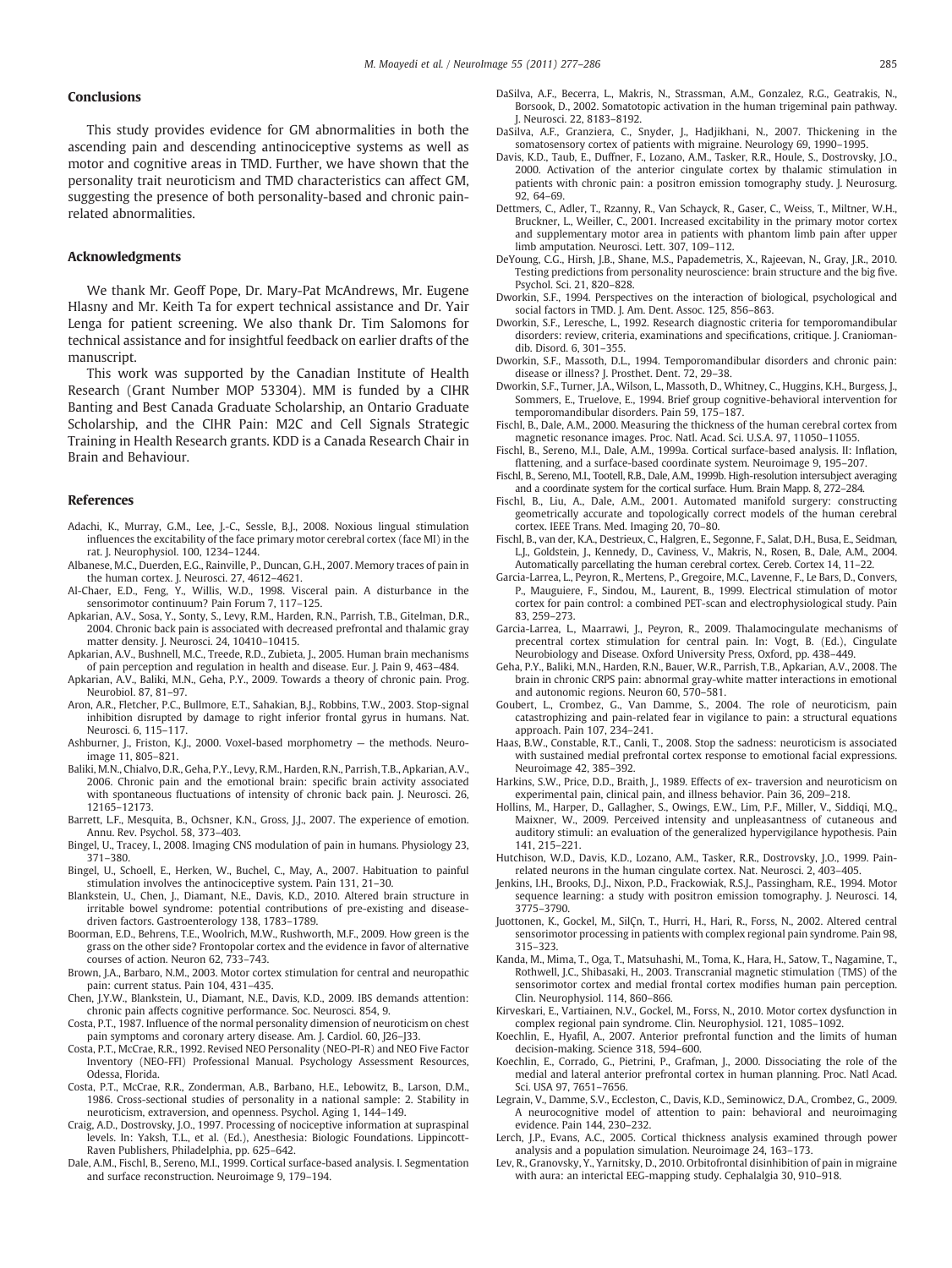# <span id="page-8-0"></span>**Conclusions**

This study provides evidence for GM abnormalities in both the ascending pain and descending antinociceptive systems as well as motor and cognitive areas in TMD. Further, we have shown that the personality trait neuroticism and TMD characteristics can affect GM, suggesting the presence of both personality-based and chronic painrelated abnormalities.

# Acknowledgments

We thank Mr. Geoff Pope, Dr. Mary-Pat McAndrews, Mr. Eugene Hlasny and Mr. Keith Ta for expert technical assistance and Dr. Yair Lenga for patient screening. We also thank Dr. Tim Salomons for technical assistance and for insightful feedback on earlier drafts of the manuscript.

This work was supported by the Canadian Institute of Health Research (Grant Number MOP 53304). MM is funded by a CIHR Banting and Best Canada Graduate Scholarship, an Ontario Graduate Scholarship, and the CIHR Pain: M2C and Cell Signals Strategic Training in Health Research grants. KDD is a Canada Research Chair in Brain and Behaviour.

### References

- Adachi, K., Murray, G.M., Lee, J.-C., Sessle, B.J., 2008. Noxious lingual stimulation influences the excitability of the face primary motor cerebral cortex (face MI) in the rat. J. Neurophysiol. 100, 1234–1244.
- Albanese, M.C., Duerden, E.G., Rainville, P., Duncan, G.H., 2007. Memory traces of pain in the human cortex. J. Neurosci. 27, 4612–4621.
- Al-Chaer, E.D., Feng, Y., Willis, W.D., 1998. Visceral pain. A disturbance in the sensorimotor continuum? Pain Forum 7, 117–125.
- Apkarian, A.V., Sosa, Y., Sonty, S., Levy, R.M., Harden, R.N., Parrish, T.B., Gitelman, D.R., 2004. Chronic back pain is associated with decreased prefrontal and thalamic gray matter density. J. Neurosci. 24, 10410–10415.
- Apkarian, A.V., Bushnell, M.C., Treede, R.D., Zubieta, J., 2005. Human brain mechanisms of pain perception and regulation in health and disease. Eur. J. Pain 9, 463–484.
- Apkarian, A.V., Baliki, M.N., Geha, P.Y., 2009. Towards a theory of chronic pain. Prog. Neurobiol. 87, 81–97.
- Aron, A.R., Fletcher, P.C., Bullmore, E.T., Sahakian, B.J., Robbins, T.W., 2003. Stop-signal inhibition disrupted by damage to right inferior frontal gyrus in humans. Nat. Neurosci. 6, 115–117.
- Ashburner, J., Friston, K.J., 2000. Voxel-based morphometry the methods. Neuroimage 11, 805–821.
- Baliki, M.N., Chialvo, D.R., Geha, P.Y., Levy, R.M., Harden, R.N., Parrish, T.B., Apkarian, A.V., 2006. Chronic pain and the emotional brain: specific brain activity associated with spontaneous fluctuations of intensity of chronic back pain. J. Neurosci. 26, 12165–12173.
- Barrett, L.F., Mesquita, B., Ochsner, K.N., Gross, J.J., 2007. The experience of emotion. Annu. Rev. Psychol. 58, 373–403.
- Bingel, U., Tracey, I., 2008. Imaging CNS modulation of pain in humans. Physiology 23, 371–380.
- Bingel, U., Schoell, E., Herken, W., Buchel, C., May, A., 2007. Habituation to painful stimulation involves the antinociceptive system. Pain 131, 21–30.
- Blankstein, U., Chen, J., Diamant, N.E., Davis, K.D., 2010. Altered brain structure in irritable bowel syndrome: potential contributions of pre-existing and diseasedriven factors. Gastroenterology 138, 1783–1789.
- Boorman, E.D., Behrens, T.E., Woolrich, M.W., Rushworth, M.F., 2009. How green is the grass on the other side? Frontopolar cortex and the evidence in favor of alternative courses of action. Neuron 62, 733–743.
- Brown, J.A., Barbaro, N.M., 2003. Motor cortex stimulation for central and neuropathic pain: current status. Pain 104, 431–435.
- Chen, J.Y.W., Blankstein, U., Diamant, N.E., Davis, K.D., 2009. IBS demands attention: chronic pain affects cognitive performance. Soc. Neurosci. 854, 9.
- Costa, P.T., 1987. Influence of the normal personality dimension of neuroticism on chest pain symptoms and coronary artery disease. Am. J. Cardiol. 60, J26–J33.
- Costa, P.T., McCrae, R.R., 1992. Revised NEO Personality (NEO-PI-R) and NEO Five Factor Inventory (NEO-FFI) Professional Manual. Psychology Assessment Resources, Odessa, Florida.
- Costa, P.T., McCrae, R.R., Zonderman, A.B., Barbano, H.E., Lebowitz, B., Larson, D.M., 1986. Cross-sectional studies of personality in a national sample: 2. Stability in neuroticism, extraversion, and openness. Psychol. Aging 1, 144–149.
- Craig, A.D., Dostrovsky, J.O., 1997. Processing of nociceptive information at supraspinal levels. In: Yaksh, T.L., et al. (Ed.), Anesthesia: Biologic Foundations. Lippincott-Raven Publishers, Philadelphia, pp. 625–642.
- Dale, A.M., Fischl, B., Sereno, M.I., 1999. Cortical surface-based analysis. I. Segmentation and surface reconstruction. Neuroimage 9, 179–194.
- DaSilva, A.F., Becerra, L., Makris, N., Strassman, A.M., Gonzalez, R.G., Geatrakis, N., Borsook, D., 2002. Somatotopic activation in the human trigeminal pain pathway. J. Neurosci. 22, 8183–8192.
- DaSilva, A.F., Granziera, C., Snyder, J., Hadjikhani, N., 2007. Thickening in the somatosensory cortex of patients with migraine. Neurology 69, 1990–1995.
- Davis, K.D., Taub, E., Duffner, F., Lozano, A.M., Tasker, R.R., Houle, S., Dostrovsky, J.O., 2000. Activation of the anterior cingulate cortex by thalamic stimulation in patients with chronic pain: a positron emission tomography study. J. Neurosurg. 92, 64–69.
- Dettmers, C., Adler, T., Rzanny, R., Van Schayck, R., Gaser, C., Weiss, T., Miltner, W.H., Bruckner, L., Weiller, C., 2001. Increased excitability in the primary motor cortex and supplementary motor area in patients with phantom limb pain after upper limb amputation. Neurosci. Lett. 307, 109–112.
- DeYoung, C.G., Hirsh, J.B., Shane, M.S., Papademetris, X., Rajeevan, N., Gray, J.R., 2010. Testing predictions from personality neuroscience: brain structure and the big five. Psychol. Sci. 21, 820–828.
- Dworkin, S.F., 1994. Perspectives on the interaction of biological, psychological and social factors in TMD. J. Am. Dent. Assoc. 125, 856–863.
- Dworkin, S.F., Leresche, L., 1992. Research diagnostic criteria for temporomandibular disorders: review, criteria, examinations and specifications, critique. J. Craniomandib. Disord. 6, 301–355.
- Dworkin, S.F., Massoth, D.L., 1994. Temporomandibular disorders and chronic pain: disease or illness? J. Prosthet. Dent. 72, 29–38.
- Dworkin, S.F., Turner, J.A., Wilson, L., Massoth, D., Whitney, C., Huggins, K.H., Burgess, J., Sommers, E., Truelove, E., 1994. Brief group cognitive-behavioral intervention for temporomandibular disorders. Pain 59, 175–187.
- Fischl, B., Dale, A.M., 2000. Measuring the thickness of the human cerebral cortex from magnetic resonance images. Proc. Natl. Acad. Sci. U.S.A. 97, 11050–11055.
- Fischl, B., Sereno, M.I., Dale, A.M., 1999a. Cortical surface-based analysis. II: Inflation, flattening, and a surface-based coordinate system. Neuroimage 9, 195–207.
- Fischl, B., Sereno, M.I., Tootell, R.B., Dale, A.M., 1999b. High-resolution intersubject averaging and a coordinate system for the cortical surface. Hum. Brain Mapp. 8, 272–284.
- Fischl, B., Liu, A., Dale, A.M., 2001. Automated manifold surgery: constructing geometrically accurate and topologically correct models of the human cerebral cortex. IEEE Trans. Med. Imaging 20, 70–80.
- Fischl, B., van der, K.A., Destrieux, C., Halgren, E., Segonne, F., Salat, D.H., Busa, E., Seidman, L.J., Goldstein, J., Kennedy, D., Caviness, V., Makris, N., Rosen, B., Dale, A.M., 2004. Automatically parcellating the human cerebral cortex. Cereb. Cortex 14, 11–22.
- Garcia-Larrea, L., Peyron, R., Mertens, P., Gregoire, M.C., Lavenne, F., Le Bars, D., Convers, P., Mauguiere, F., Sindou, M., Laurent, B., 1999. Electrical stimulation of motor cortex for pain control: a combined PET-scan and electrophysiological study. Pain 83, 259–273.
- Garcia-Larrea, L., Maarrawi, J., Peyron, R., 2009. Thalamocingulate mechanisms of precentral cortex stimulation for central pain. In: Vogt, B. (Ed.), Cingulate Neurobiology and Disease. Oxford University Press, Oxford, pp. 438–449.
- Geha, P.Y., Baliki, M.N., Harden, R.N., Bauer, W.R., Parrish, T.B., Apkarian, A.V., 2008. The brain in chronic CRPS pain: abnormal gray-white matter interactions in emotional and autonomic regions. Neuron 60, 570–581.
- Goubert, L., Crombez, G., Van Damme, S., 2004. The role of neuroticism, pain catastrophizing and pain-related fear in vigilance to pain: a structural equations approach. Pain 107, 234–241.
- Haas, B.W., Constable, R.T., Canli, T., 2008. Stop the sadness: neuroticism is associated with sustained medial prefrontal cortex response to emotional facial expressions. Neuroimage 42, 385–392.
- Harkins, S.W., Price, D.D., Braith, J., 1989. Effects of ex- traversion and neuroticism on experimental pain, clinical pain, and illness behavior. Pain 36, 209–218.
- Hollins, M., Harper, D., Gallagher, S., Owings, E.W., Lim, P.F., Miller, V., Siddiqi, M.Q., Maixner, W., 2009. Perceived intensity and unpleasantness of cutaneous and auditory stimuli: an evaluation of the generalized hypervigilance hypothesis. Pain 141, 215–221.
- Hutchison, W.D., Davis, K.D., Lozano, A.M., Tasker, R.R., Dostrovsky, J.O., 1999. Painrelated neurons in the human cingulate cortex. Nat. Neurosci. 2, 403–405.
- Jenkins, I.H., Brooks, D.J., Nixon, P.D., Frackowiak, R.S.J., Passingham, R.E., 1994. Motor sequence learning: a study with positron emission tomography. J. Neurosci. 14, 3775–3790.
- Juottonen, K., Gockel, M., SilÇn, T., Hurri, H., Hari, R., Forss, N., 2002. Altered central sensorimotor processing in patients with complex regional pain syndrome. Pain 98, 315–323.
- Kanda, M., Mima, T., Oga, T., Matsuhashi, M., Toma, K., Hara, H., Satow, T., Nagamine, T., Rothwell, J.C., Shibasaki, H., 2003. Transcranial magnetic stimulation (TMS) of the sensorimotor cortex and medial frontal cortex modifies human pain perception. Clin. Neurophysiol. 114, 860–866.
- Kirveskari, E., Vartiainen, N.V., Gockel, M., Forss, N., 2010. Motor cortex dysfunction in complex regional pain syndrome. Clin. Neurophysiol. 121, 1085–1092.
- Koechlin, E., Hyafil, A., 2007. Anterior prefrontal function and the limits of human decision-making. Science 318, 594–600.
- Koechlin, E., Corrado, G., Pietrini, P., Grafman, J., 2000. Dissociating the role of the medial and lateral anterior prefrontal cortex in human planning. Proc. Natl Acad. Sci. USA 97, 7651–7656.
- Legrain, V., Damme, S.V., Eccleston, C., Davis, K.D., Seminowicz, D.A., Crombez, G., 2009. A neurocognitive model of attention to pain: behavioral and neuroimaging evidence. Pain 144, 230–232.
- Lerch, J.P., Evans, A.C., 2005. Cortical thickness analysis examined through power analysis and a population simulation. Neuroimage 24, 163–173.
- Lev, R., Granovsky, Y., Yarnitsky, D., 2010. Orbitofrontal disinhibition of pain in migraine with aura: an interictal EEG-mapping study. Cephalalgia 30, 910–918.